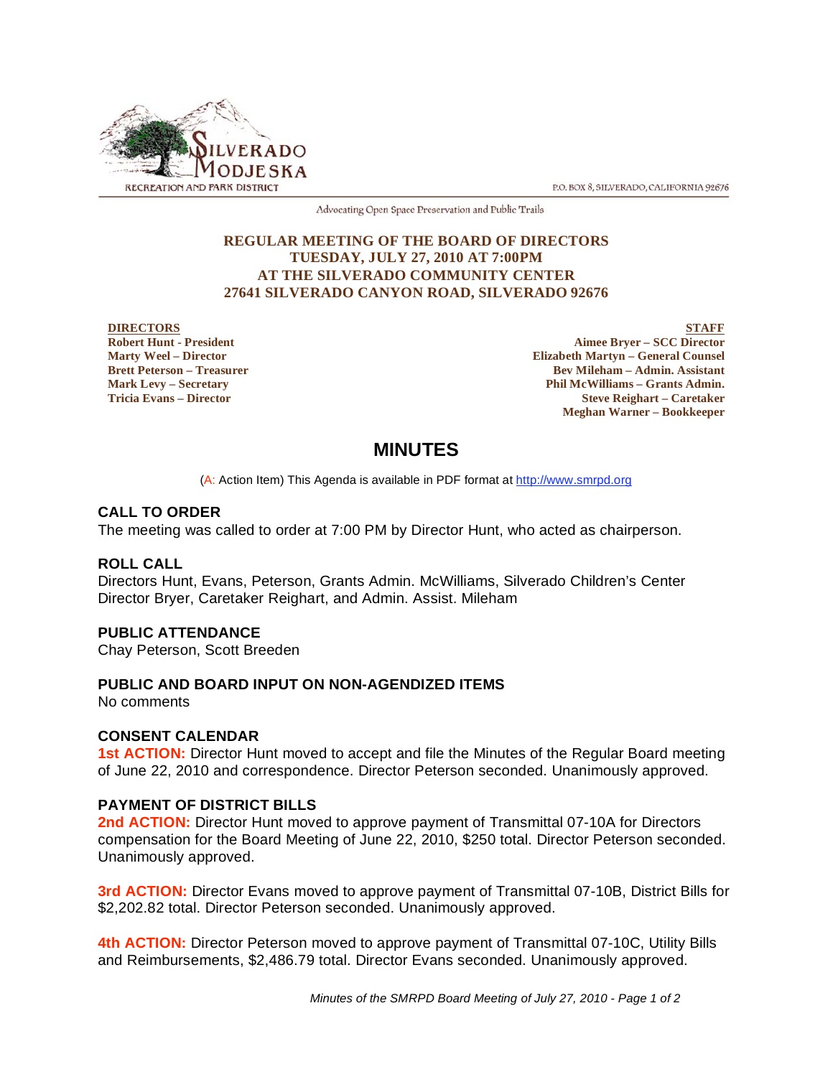

P.O. BOX 8, SILVERADO, CALIFORNIA 92676

Advocating Open Space Preservation and Public Trails

### **REGULAR MEETING OF THE BOARD OF DIRECTORS TUESDAY, JULY 27, 2010 AT 7:00PM AT THE SILVERADO COMMUNITY CENTER 27641 SILVERADO CANYON ROAD, SILVERADO 92676**

#### **DIRECTORS Robert Hunt - President Marty Weel – Director Brett Peterson – Treasurer Mark Levy – Secretary Tricia Evans – Director**

**STAFF Aimee Bryer – SCC Director Elizabeth Martyn – General Counsel Bev Mileham – Admin. Assistant Phil McWilliams – Grants Admin. Steve Reighart – Caretaker Meghan Warner – Bookkeeper**

# **MINUTES**

(A: Action Item) This Agenda is available in PDF format at http://www.smrpd.org

# **CALL TO ORDER**

The meeting was called to order at 7:00 PM by Director Hunt, who acted as chairperson.

# **ROLL CALL**

Directors Hunt, Evans, Peterson, Grants Admin. McWilliams, Silverado Children's Center Director Bryer, Caretaker Reighart, and Admin. Assist. Mileham

# **PUBLIC ATTENDANCE**

Chay Peterson, Scott Breeden

# **PUBLIC AND BOARD INPUT ON NON-AGENDIZED ITEMS**

No comments

### **CONSENT CALENDAR**

**1st ACTION:** Director Hunt moved to accept and file the Minutes of the Regular Board meeting of June 22, 2010 and correspondence. Director Peterson seconded. Unanimously approved.

### **PAYMENT OF DISTRICT BILLS**

2nd **ACTION:** Director Hunt moved to approve payment of Transmittal 07-10A for Directors compensation for the Board Meeting of June 22, 2010, \$250 total. Director Peterson seconded. Unanimously approved.

**3rd ACTION:** Director Evans moved to approve payment of Transmittal 07-10B, District Bills for \$2,202.82 total. Director Peterson seconded. Unanimously approved.

**4th ACTION:** Director Peterson moved to approve payment of Transmittal 07-10C, Utility Bills and Reimbursements, \$2,486.79 total. Director Evans seconded. Unanimously approved.